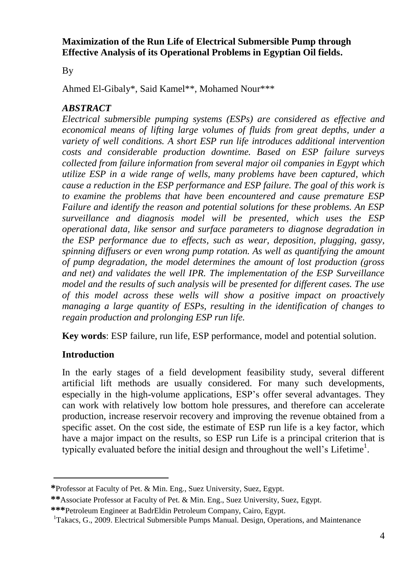## **Maximization of the Run Life of Electrical Submersible Pump through Effective Analysis of its Operational Problems in Egyptian Oil fields.**

By

Ahmed El-Gibaly\*, Said Kamel\*\*, Mohamed Nour\*\*\*

# *ABSTRACT*

*Electrical submersible pumping systems (ESPs) are considered as effective and economical means of lifting large volumes of fluids from great depths, under a variety of well conditions. A short ESP run life introduces additional intervention costs and considerable production downtime. Based on ESP failure surveys collected from failure information from several major oil companies in Egypt which utilize ESP in a wide range of wells, many problems have been captured, which cause a reduction in the ESP performance and ESP failure. The goal of this work is to examine the problems that have been encountered and cause premature ESP Failure and identify the reason and potential solutions for these problems. An ESP surveillance and diagnosis model will be presented, which uses the ESP operational data, like sensor and surface parameters to diagnose degradation in the ESP performance due to effects, such as wear, deposition, plugging, gassy, spinning diffusers or even wrong pump rotation. As well as quantifying the amount of pump degradation, the model determines the amount of lost production (gross and net) and validates the well IPR. The implementation of the ESP Surveillance model and the results of such analysis will be presented for different cases. The use of this model across these wells will show a positive impact on proactively managing a large quantity of ESPs, resulting in the identification of changes to regain production and prolonging ESP run life.*

**Key words**: ESP failure, run life, ESP performance, model and potential solution.

# **Introduction**

 $\overline{a}$ 

In the early stages of a field development feasibility study, several different artificial lift methods are usually considered. For many such developments, especially in the high-volume applications, ESP's offer several advantages. They can work with relatively low bottom hole pressures, and therefore can accelerate production, increase reservoir recovery and improving the revenue obtained from a specific asset. On the cost side, the estimate of ESP run life is a key factor, which have a major impact on the results, so ESP run Life is a principal criterion that is typically evaluated before the initial design and throughout the well's Lifetime<sup>1</sup>.

**<sup>\*</sup>**Professor at Faculty of Pet. & Min. Eng., Suez University, Suez, Egypt.

**<sup>\*\*</sup>**Associate Professor at Faculty of Pet. & Min. Eng., Suez University, Suez, Egypt.

**<sup>\*\*\*</sup>**Petroleum Engineer at BadrEldin Petroleum Company, Cairo, Egypt.

<sup>1</sup>Takacs, G., 2009. Electrical Submersible Pumps Manual. Design, Operations, and Maintenance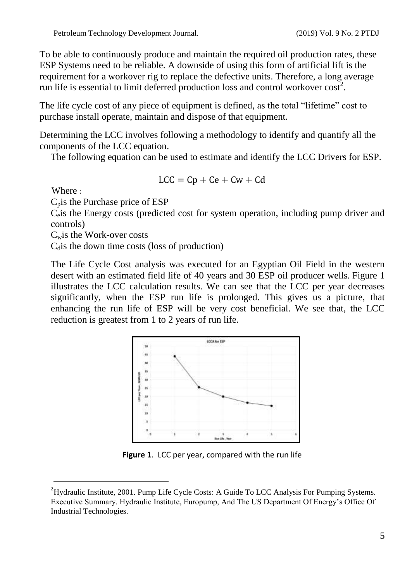To be able to continuously produce and maintain the required oil production rates, these ESP Systems need to be reliable. A downside of using this form of artificial lift is the requirement for a workover rig to replace the defective units. Therefore, a long average run life is essential to limit deferred production loss and control workover  $\cos t^2$ .

The life cycle cost of any piece of equipment is defined, as the total "lifetime" cost to purchase install operate, maintain and dispose of that equipment.

Determining the LCC involves following a methodology to identify and quantify all the components of the LCC equation.

The following equation can be used to estimate and identify the LCC Drivers for ESP.

$$
LCC = Cp + Ce + Cw + Cd
$$

Where :

 $\overline{a}$ 

 $C_p$  is the Purchase price of ESP

Ceis the Energy costs (predicted cost for system operation, including pump driver and controls)

 $C_w$  is the Work-over costs

 $C<sub>d</sub>$  is the down time costs (loss of production)

The Life Cycle Cost analysis was executed for an Egyptian Oil Field in the western desert with an estimated field life of 40 years and 30 ESP oil producer wells. Figure 1 illustrates the LCC calculation results. We can see that the LCC per year decreases significantly, when the ESP run life is prolonged. This gives us a picture, that enhancing the run life of ESP will be very cost beneficial. We see that, the LCC reduction is greatest from 1 to 2 years of run life.



**Figure 1**. LCC per year, compared with the run life

<sup>&</sup>lt;sup>2</sup>Hydraulic Institute, 2001. Pump Life Cycle Costs: A Guide To LCC Analysis For Pumping Systems. Executive Summary. Hydraulic Institute, Europump, And The US Department Of Energy's Office Of Industrial Technologies.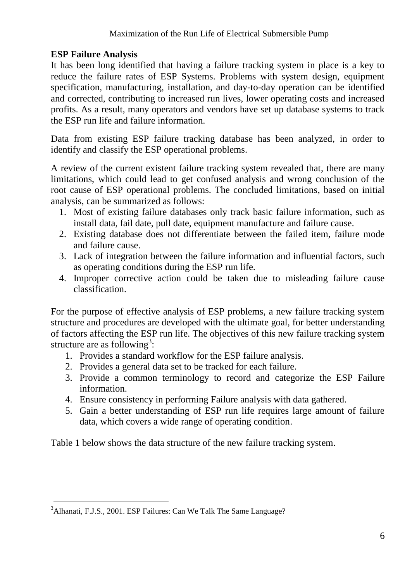# **ESP Failure Analysis**

It has been long identified that having a failure tracking system in place is a key to reduce the failure rates of ESP Systems. Problems with system design, equipment specification, manufacturing, installation, and day-to-day operation can be identified and corrected, contributing to increased run lives, lower operating costs and increased profits. As a result, many operators and vendors have set up database systems to track the ESP run life and failure information.

Data from existing ESP failure tracking database has been analyzed, in order to identify and classify the ESP operational problems.

A review of the current existent failure tracking system revealed that, there are many limitations, which could lead to get confused analysis and wrong conclusion of the root cause of ESP operational problems. The concluded limitations, based on initial analysis, can be summarized as follows:

- 1. Most of existing failure databases only track basic failure information, such as install data, fail date, pull date, equipment manufacture and failure cause.
- 2. Existing database does not differentiate between the failed item, failure mode and failure cause.
- 3. Lack of integration between the failure information and influential factors, such as operating conditions during the ESP run life.
- 4. Improper corrective action could be taken due to misleading failure cause classification.

For the purpose of effective analysis of ESP problems, a new failure tracking system structure and procedures are developed with the ultimate goal, for better understanding of factors affecting the ESP run life. The objectives of this new failure tracking system structure are as following<sup>3</sup>:

- 1. Provides a standard workflow for the ESP failure analysis.
- 2. Provides a general data set to be tracked for each failure.
- 3. Provide a common terminology to record and categorize the ESP Failure information.
- 4. Ensure consistency in performing Failure analysis with data gathered.
- 5. Gain a better understanding of ESP run life requires large amount of failure data, which covers a wide range of operating condition.

Table 1 below shows the data structure of the new failure tracking system.

 $\overline{a}$ <sup>3</sup>Alhanati, F.J.S., 2001. ESP Failures: Can We Talk The Same Language?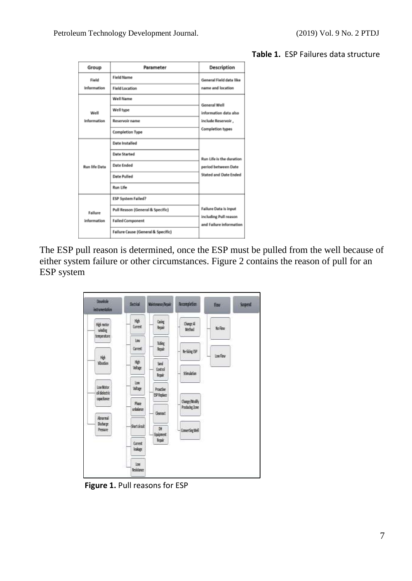| Group                  | Parameter                          | Description                                      |
|------------------------|------------------------------------|--------------------------------------------------|
| Field                  | <b>Field Name</b>                  | General Field data like                          |
| Information            | <b>Field Location</b>              | name and location                                |
|                        | Well Name                          | <b>General Well</b>                              |
| Well                   | Well type                          | information data also                            |
| Information            | <b>Reservoir name</b>              | include Reservoir,                               |
|                        | <b>Completion Type</b>             | <b>Completion types</b>                          |
| <b>Run life Data</b>   | Date Installed                     |                                                  |
|                        | <b>Date Started</b>                | Run Life is the duration                         |
|                        | <b>Date Ended</b>                  | period between Date                              |
|                        | <b>Date Pulled</b>                 | Stated and Date Ended                            |
|                        | <b>Run Life</b>                    |                                                  |
| Failure<br>information | ESP System Failed?                 |                                                  |
|                        | Pull Reason (General & Specific)   | <b>Failure Data is input</b>                     |
|                        | <b>Failed Component</b>            | including Pull reason<br>and Failure information |
|                        | Failure Cause (General & Specific) |                                                  |

### **Table 1.** ESP Failures data structure

The ESP pull reason is determined, once the ESP must be pulled from the well because of either system failure or other circumstances. Figure 2 contains the reason of pull for an ESP system

| <b>Doughout</b><br>intrumentation | <b>Bettick</b>          | Maintenance Reserv      | Recompletion                    | How            | Suspend |
|-----------------------------------|-------------------------|-------------------------|---------------------------------|----------------|---------|
| High motor<br>video               | 障<br><b>Current</b>     | <b>Catago</b><br>Repair | Oange A<br>Method               | <b>No Fine</b> |         |
| temperature                       | lay<br><b>Carrest</b>   | Tubic<br>Begal          | Be Sizing ESP                   |                |         |
| Hel<br>Kitazion                   | 举<br>Value              | Sand<br>Control<br>lear | <b>Sinulation</b>               | tox Flow       |         |
| Low Motor<br>of detection         | los:<br>Velage          | Prostine<br>EV Replace  |                                 |                |         |
| spatiant:                         | Plase<br>inhalance      | Cleanout!               | Change/Modify<br>Producing Zone |                |         |
| Abrevel<br>fisher.<br>Pressure    | Sertonit                | TH.<br>Essionest        | Converting Well                 |                |         |
|                                   | <b>Omed:</b><br>leskage | legar                   |                                 |                |         |
|                                   | loir<br><b>Beistanz</b> |                         |                                 |                |         |

**Figure 1.** Pull reasons for ESP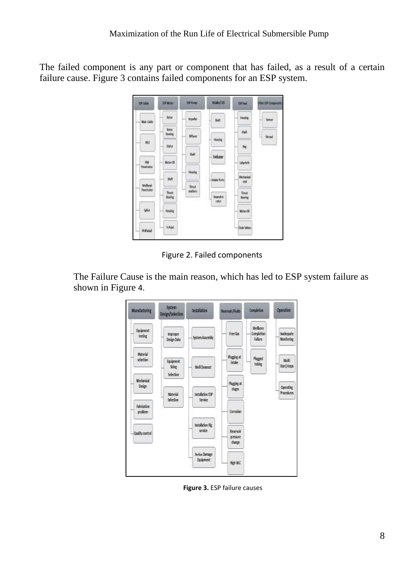The failed component is any part or component that has failed, as a result of a certain failure cause. Figure 3 contains failed components for an ESP system.



Figure 2. Failed components

The Failure Cause is the main reason, which has led to ESP system failure as shown in Figure 4.



**Figure 3.** ESP failure causes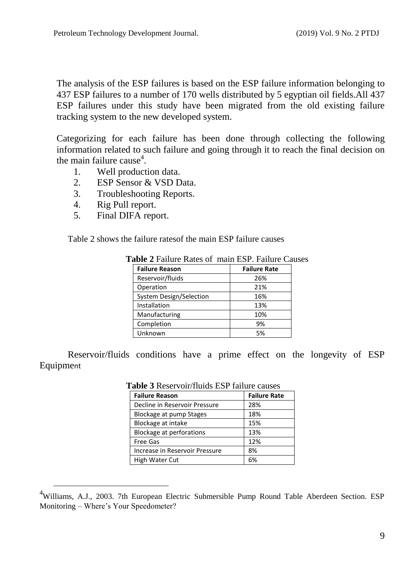The analysis of the ESP failures is based on the ESP failure information belonging to 437 ESP failures to a number of 170 wells distributed by 5 egyptian oil fields.All 437 ESP failures under this study have been migrated from the old existing failure tracking system to the new developed system.

Categorizing for each failure has been done through collecting the following information related to such failure and going through it to reach the final decision on the main failure cause<sup>4</sup>.

- 1. Well production data.
- 2. ESP Sensor & VSD Data.
- 3. Troubleshooting Reports.
- 4. Rig Pull report.

 $\overline{a}$ 

5. Final DIFA report.

Table 2 shows the failure ratesof the main ESP failure causes

| <b>Failure Reason</b>   | <b>Failure Rate</b> |
|-------------------------|---------------------|
| Reservoir/fluids        | 26%                 |
| Operation               | 21%                 |
| System Design/Selection | 16%                 |
| Installation            | 13%                 |
| Manufacturing           | 10%                 |
| Completion              | 9%                  |
| Unknown                 | 5%                  |

Reservoir/fluids conditions have a prime effect on the longevity of ESP Equipment

| <b>Failure Reason</b>           | <b>Failure Rate</b> |
|---------------------------------|---------------------|
| Decline in Reservoir Pressure   | 28%                 |
| Blockage at pump Stages         | 18%                 |
| Blockage at intake              | 15%                 |
| <b>Blockage at perforations</b> | 13%                 |
| <b>Free Gas</b>                 | 12%                 |
| Increase in Reservoir Pressure  | 8%                  |
| High Water Cut                  | 6%                  |

 **Table 3** Reservoir/fluids ESP failure causes

<sup>&</sup>lt;sup>4</sup>Williams, A.J., 2003. 7th European Electric Submersible Pump Round Table Aberdeen Section. ESP Monitoring – Where's Your Speedometer?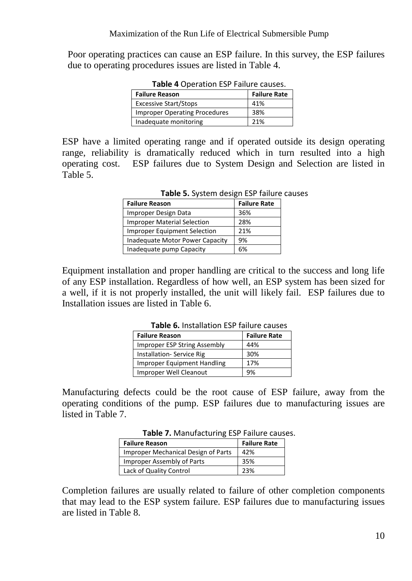Poor operating practices can cause an ESP failure. In this survey, the ESP failures due to operating procedures issues are listed in Table 4.

| <b>Failure Reason</b>                | <b>Failure Rate</b> |
|--------------------------------------|---------------------|
| <b>Excessive Start/Stops</b>         | 41%                 |
| <b>Improper Operating Procedures</b> | 38%                 |
| Inadequate monitoring                | 21%                 |

**Table 4** Operation ESP Failure causes

ESP have a limited operating range and if operated outside its design operating range, reliability is dramatically reduced which in turn resulted into a high operating cost. ESP failures due to System Design and Selection are listed in Table 5.

| <b>Failure Reason</b>               | <b>Failure Rate</b> |
|-------------------------------------|---------------------|
| Improper Design Data                | 36%                 |
| <b>Improper Material Selection</b>  | 28%                 |
| <b>Improper Equipment Selection</b> | 21%                 |
| Inadequate Motor Power Capacity     | 9%                  |
| Inadequate pump Capacity            | 6%                  |

Equipment installation and proper handling are critical to the success and long life of any ESP installation. Regardless of how well, an ESP system has been sized for a well, if it is not properly installed, the unit will likely fail. ESP failures due to Installation issues are listed in Table 6.

| <b>Table O.</b> IIIStallation L.S. Tallul & Causes |                     |  |
|----------------------------------------------------|---------------------|--|
| <b>Failure Reason</b>                              | <b>Failure Rate</b> |  |
| Improper ESP String Assembly                       | 44%                 |  |
| <b>Installation-Service Rig</b>                    | 30%                 |  |
| Improper Equipment Handling                        | 17%                 |  |
| Improper Well Cleanout                             | 9%                  |  |

**Table 6.** Installation ESP failure causes

Manufacturing defects could be the root cause of ESP failure, away from the operating conditions of the pump. ESP failures due to manufacturing issues are listed in Table 7.

| <b>Table 7:</b> Marigracturing Lor Tallule cause |                     |  |
|--------------------------------------------------|---------------------|--|
| <b>Failure Reason</b>                            | <b>Failure Rate</b> |  |
| <b>Improper Mechanical Design of Parts</b>       | 42%                 |  |
| Improper Assembly of Parts                       | 35%                 |  |
| Lack of Quality Control                          | 23%                 |  |

**Table 7.** Manufacturing ESP Failure causes.

Completion failures are usually related to failure of other completion components that may lead to the ESP system failure. ESP failures due to manufacturing issues are listed in Table 8.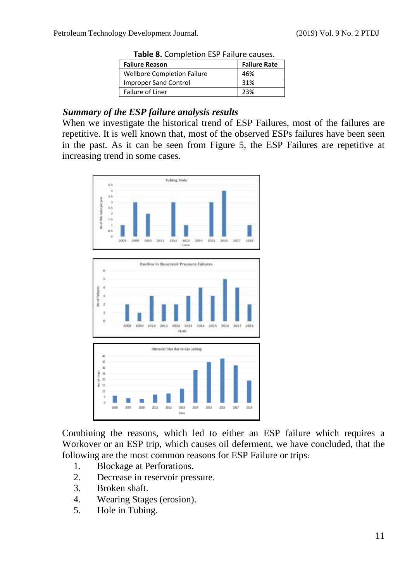| <b>Table of Completion Lor Tanare causes.</b> |                     |  |
|-----------------------------------------------|---------------------|--|
| <b>Failure Reason</b>                         | <b>Failure Rate</b> |  |
| <b>Wellbore Completion Failure</b>            | 46%                 |  |
| <b>Improper Sand Control</b>                  | 31%                 |  |
| Failure of Liner                              | 23%                 |  |
|                                               |                     |  |

**Table 8.** Completion ESP Failure causes.

### *Summary of the ESP failure analysis results*

When we investigate the historical trend of ESP Failures, most of the failures are repetitive. It is well known that, most of the observed ESPs failures have been seen in the past. As it can be seen from Figure 5, the ESP Failures are repetitive at increasing trend in some cases.





Combining the reasons, which led to either an ESP failure which requires a Workover or an ESP trip, which causes oil deferment, we have concluded, that the following are the most common reasons for ESP Failure or trips:

- 1. Blockage at Perforations.
- 2. Decrease in reservoir pressure.
- 3. Broken shaft.
- 4. Wearing Stages (erosion).
- 5. Hole in Tubing.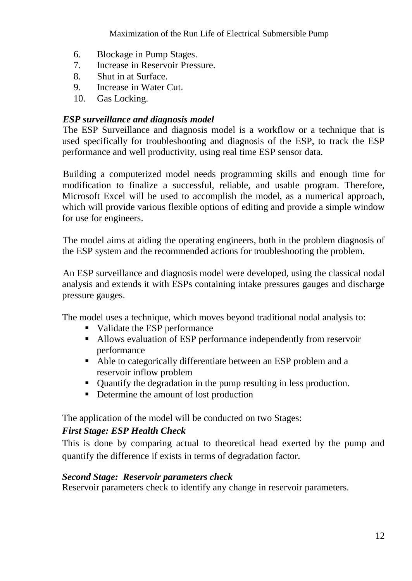- 6. Blockage in Pump Stages.
- 7. Increase in Reservoir Pressure.
- 8. Shut in at Surface.
- 9. Increase in Water Cut.
- 10. Gas Locking.

# *ESP surveillance and diagnosis model*

The ESP Surveillance and diagnosis model is a workflow or a technique that is used specifically for troubleshooting and diagnosis of the ESP, to track the ESP performance and well productivity, using real time ESP sensor data.

Building a computerized model needs programming skills and enough time for modification to finalize a successful, reliable, and usable program. Therefore, Microsoft Excel will be used to accomplish the model, as a numerical approach, which will provide various flexible options of editing and provide a simple window for use for engineers.

The model aims at aiding the operating engineers, both in the problem diagnosis of the ESP system and the recommended actions for troubleshooting the problem.

An ESP surveillance and diagnosis model were developed, using the classical nodal analysis and extends it with ESPs containing intake pressures gauges and discharge pressure gauges.

The model uses a technique, which moves beyond traditional nodal analysis to:

- Validate the ESP performance
- Allows evaluation of ESP performance independently from reservoir performance
- Able to categorically differentiate between an ESP problem and a reservoir inflow problem
- Quantify the degradation in the pump resulting in less production.
- Determine the amount of lost production

The application of the model will be conducted on two Stages:

# *First Stage: ESP Health Check*

This is done by comparing actual to theoretical head exerted by the pump and quantify the difference if exists in terms of degradation factor.

## *Second Stage: Reservoir parameters check*

Reservoir parameters check to identify any change in reservoir parameters.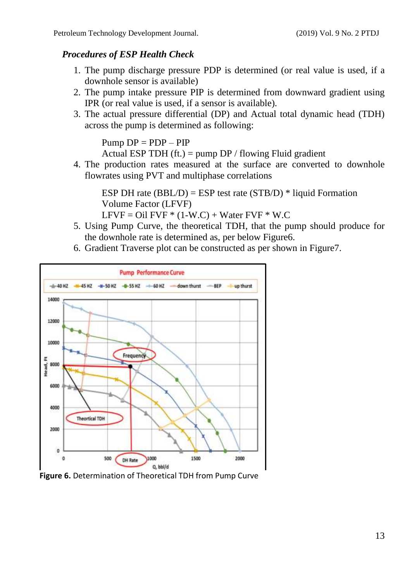# *Procedures of ESP Health Check*

- 1. The pump discharge pressure PDP is determined (or real value is used, if a downhole sensor is available)
- 2. The pump intake pressure PIP is determined from downward gradient using IPR (or real value is used, if a sensor is available).
- 3. The actual pressure differential (DP) and Actual total dynamic head (TDH) across the pump is determined as following:

 $Pump DP = PDP - PIP$ 

Actual ESP TDH (ft.) = pump  $DP /$  flowing Fluid gradient

4. The production rates measured at the surface are converted to downhole flowrates using PVT and multiphase correlations

ESP DH rate  $(BBL/D) = ESP$  test rate  $(STB/D)$  \* liquid Formation Volume Factor (LFVF)

 $LFVF = Oil FVF * (1-W.C) + Water FVF * W.C$ 

- 5. Using Pump Curve, the theoretical TDH, that the pump should produce for the downhole rate is determined as, per below Figure6.
- 6. Gradient Traverse plot can be constructed as per shown in Figure7.



**Figure 6.** Determination of Theoretical TDH from Pump Curve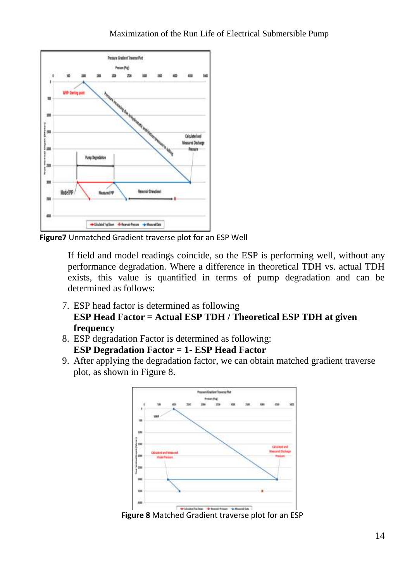

**Figure7** Unmatched Gradient traverse plot for an ESP Well

If field and model readings coincide, so the ESP is performing well, without any performance degradation. Where a difference in theoretical TDH vs. actual TDH exists, this value is quantified in terms of pump degradation and can be determined as follows:

- 7. ESP head factor is determined as following **ESP Head Factor = Actual ESP TDH / Theoretical ESP TDH at given frequency**
- 8. ESP degradation Factor is determined as following: **ESP Degradation Factor = 1- ESP Head Factor**
- 9. After applying the degradation factor, we can obtain matched gradient traverse plot, as shown in Figure 8.



**Figure 8** Matched Gradient traverse plot for an ESP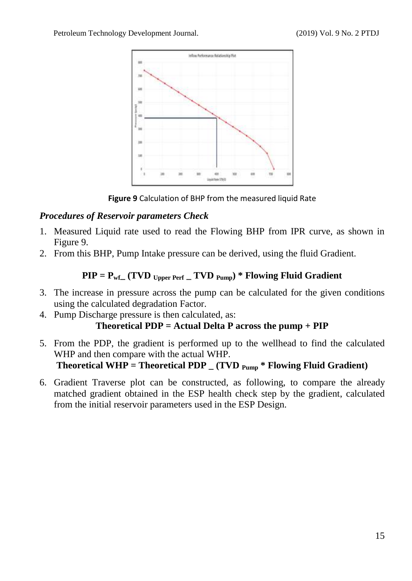

**Figure 9** Calculation of BHP from the measured liquid Rate

# *Procedures of Reservoir parameters Check*

- 1. Measured Liquid rate used to read the Flowing BHP from IPR curve, as shown in Figure 9.
- 2. From this BHP, Pump Intake pressure can be derived, using the fluid Gradient.

# $\text{PIP} = \text{P}_{\text{wf}}$  (TVD  $\text{U}_{\text{Dper}}$  Perf  $\text{V}$  TVD  $\text{P}_{\text{U}}$ ) \* Flowing Fluid Gradient

- 3. The increase in pressure across the pump can be calculated for the given conditions using the calculated degradation Factor.
- 4. Pump Discharge pressure is then calculated, as:

# **Theoretical PDP = Actual Delta P across the pump + PIP**

- 5. From the PDP, the gradient is performed up to the wellhead to find the calculated WHP and then compare with the actual WHP. **Theoretical WHP = Theoretical PDP \_ (TVD Pump \* Flowing Fluid Gradient)**
- 6. Gradient Traverse plot can be constructed, as following, to compare the already matched gradient obtained in the ESP health check step by the gradient, calculated from the initial reservoir parameters used in the ESP Design.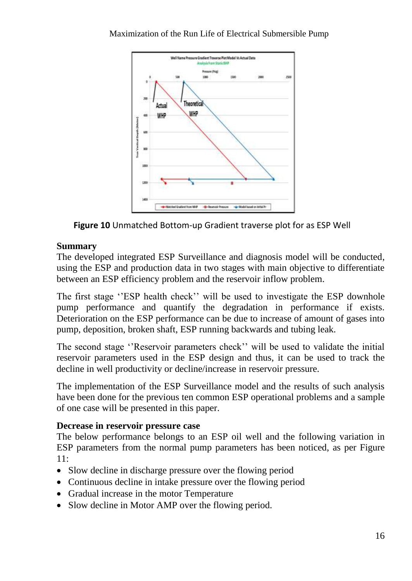### Maximization of the Run Life of Electrical Submersible Pump



**Figure 10** Unmatched Bottom-up Gradient traverse plot for as ESP Well

## **Summary**

The developed integrated ESP Surveillance and diagnosis model will be conducted, using the ESP and production data in two stages with main objective to differentiate between an ESP efficiency problem and the reservoir inflow problem.

The first stage ''ESP health check'' will be used to investigate the ESP downhole pump performance and quantify the degradation in performance if exists. Deterioration on the ESP performance can be due to increase of amount of gases into pump, deposition, broken shaft, ESP running backwards and tubing leak.

The second stage ''Reservoir parameters check'' will be used to validate the initial reservoir parameters used in the ESP design and thus, it can be used to track the decline in well productivity or decline/increase in reservoir pressure.

The implementation of the ESP Surveillance model and the results of such analysis have been done for the previous ten common ESP operational problems and a sample of one case will be presented in this paper.

## **Decrease in reservoir pressure case**

The below performance belongs to an ESP oil well and the following variation in ESP parameters from the normal pump parameters has been noticed, as per Figure 11:

- Slow decline in discharge pressure over the flowing period
- Continuous decline in intake pressure over the flowing period
- Gradual increase in the motor Temperature
- Slow decline in Motor AMP over the flowing period.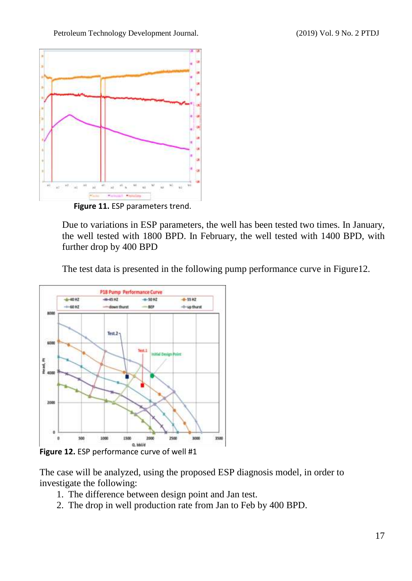Petroleum Technology Development Journal. (2019) Vol. 9 No. 2 PTDJ



 **Figure 11.** ESP parameters trend.

Due to variations in ESP parameters, the well has been tested two times. In January, the well tested with 1800 BPD. In February, the well tested with 1400 BPD, with further drop by 400 BPD

The test data is presented in the following pump performance curve in Figure12.



**Figure 12.** ESP performance curve of well #1

The case will be analyzed, using the proposed ESP diagnosis model, in order to investigate the following:

- 1. The difference between design point and Jan test.
- 2. The drop in well production rate from Jan to Feb by 400 BPD.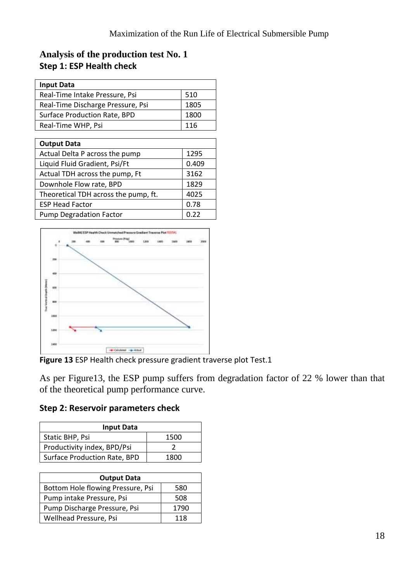# **Analysis of the production test No. 1 Step 1: ESP Health check**

| <b>Input Data</b>                    |       |
|--------------------------------------|-------|
| Real-Time Intake Pressure, Psi       | 510   |
| Real-Time Discharge Pressure, Psi    | 1805  |
| Surface Production Rate, BPD         | 1800  |
| Real-Time WHP, Psi                   | 116   |
|                                      |       |
| <b>Output Data</b>                   |       |
| Actual Delta P across the pump       | 1295  |
| Liquid Fluid Gradient, Psi/Ft        | 0.409 |
| Actual TDH across the pump, Ft       | 3162  |
| Downhole Flow rate, BPD              | 1829  |
| Theoretical TDH across the pump, ft. | 4025  |
| <b>ESP Head Factor</b>               | 0.78  |
| <b>Pump Degradation Factor</b>       | 0.22  |



**Figure 13** ESP Health check pressure gradient traverse plot Test.1

As per Figure13, the ESP pump suffers from degradation factor of 22 % lower than that of the theoretical pump performance curve.

**Step 2: Reservoir parameters check**

| <b>Input Data</b>            |      |  |
|------------------------------|------|--|
| Static BHP, Psi              | 1500 |  |
| Productivity index, BPD/Psi  |      |  |
| Surface Production Rate, BPD | 1800 |  |

| <b>Output Data</b>                |      |  |
|-----------------------------------|------|--|
| Bottom Hole flowing Pressure, Psi | 580  |  |
| Pump intake Pressure, Psi         | 508  |  |
| Pump Discharge Pressure, Psi      | 1790 |  |
| Wellhead Pressure, Psi            | 118  |  |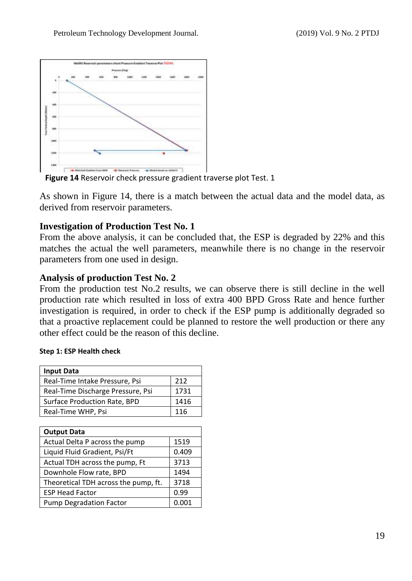

**Figure 14** Reservoir check pressure gradient traverse plot Test. 1

As shown in Figure 14, there is a match between the actual data and the model data, as derived from reservoir parameters.

### **Investigation of Production Test No. 1**

From the above analysis, it can be concluded that, the ESP is degraded by 22% and this matches the actual the well parameters, meanwhile there is no change in the reservoir parameters from one used in design.

### **Analysis of production Test No. 2**

From the production test No.2 results, we can observe there is still decline in the well production rate which resulted in loss of extra 400 BPD Gross Rate and hence further investigation is required, in order to check if the ESP pump is additionally degraded so that a proactive replacement could be planned to restore the well production or there any other effect could be the reason of this decline.

#### **Step 1: ESP Health check**

| <b>Input Data</b>                 |      |
|-----------------------------------|------|
| Real-Time Intake Pressure, Psi    | 212  |
| Real-Time Discharge Pressure, Psi | 1731 |
| Surface Production Rate, BPD      | 1416 |
| Real-Time WHP, Psi                | 116  |

| <b>Output Data</b>                   |       |  |
|--------------------------------------|-------|--|
| Actual Delta P across the pump       | 1519  |  |
| Liquid Fluid Gradient, Psi/Ft        | 0.409 |  |
| Actual TDH across the pump, Ft       | 3713  |  |
| Downhole Flow rate, BPD              | 1494  |  |
| Theoretical TDH across the pump, ft. | 3718  |  |
| <b>ESP Head Factor</b>               | 0.99  |  |
| <b>Pump Degradation Factor</b>       |       |  |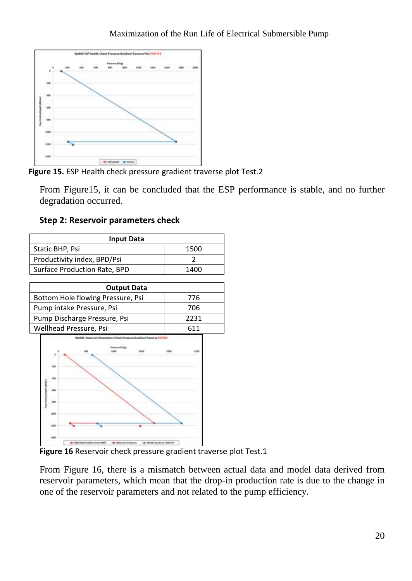

**Figure 15.** ESP Health check pressure gradient traverse plot Test.2

From Figure15, it can be concluded that the ESP performance is stable, and no further degradation occurred.

**Step 2: Reservoir parameters check**

| <b>Input Data</b>            |      |  |
|------------------------------|------|--|
| Static BHP, Psi              | 1500 |  |
| Productivity index, BPD/Psi  |      |  |
| Surface Production Rate, BPD | 1400 |  |
|                              |      |  |

| <b>Output Data</b>                |      |
|-----------------------------------|------|
| Bottom Hole flowing Pressure, Psi | 776  |
| Pump intake Pressure, Psi         | 706  |
| Pump Discharge Pressure, Psi      | 2231 |
| Wellhead Pressure, Psi            | 611  |



**Figure 16** Reservoir check pressure gradient traverse plot Test.1

From Figure 16, there is a mismatch between actual data and model data derived from reservoir parameters, which mean that the drop-in production rate is due to the change in one of the reservoir parameters and not related to the pump efficiency.